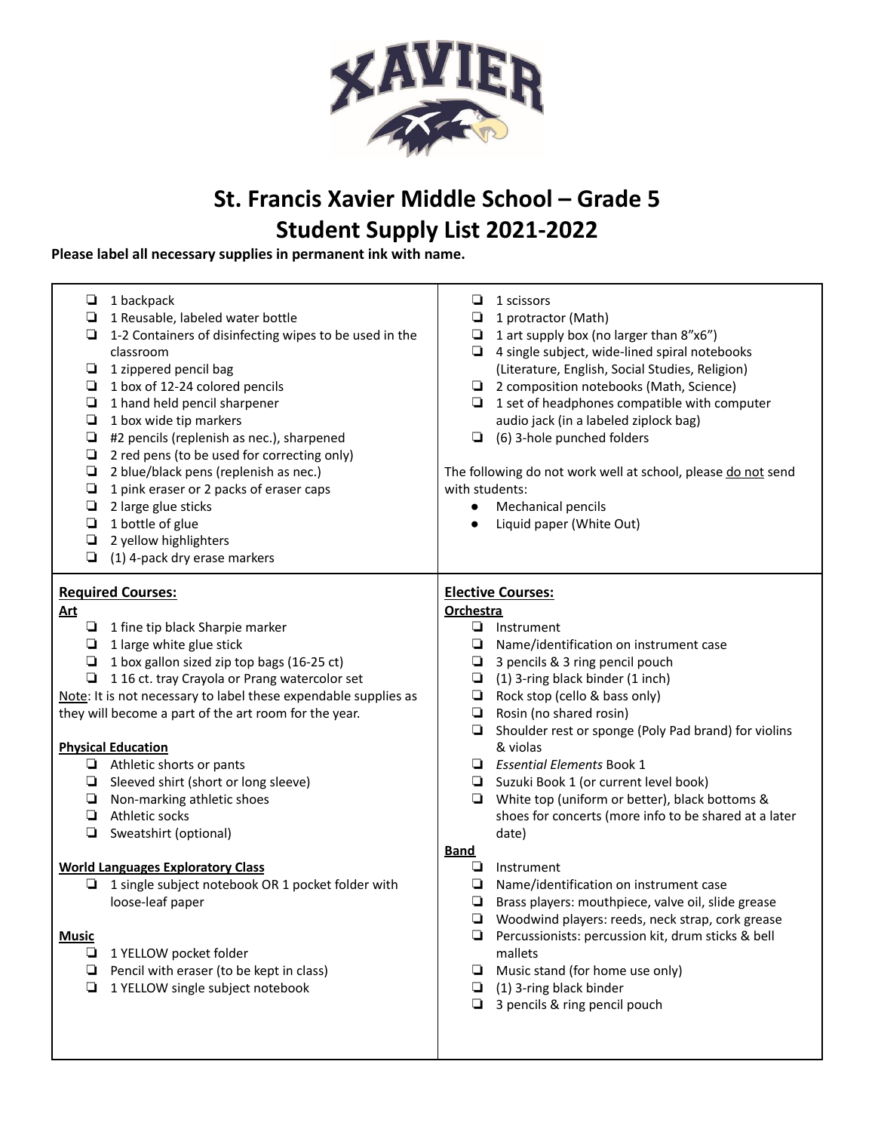

# **St. Francis Xavier Middle School – Grade 5 Student Supply List 2021-2022**

# **Please label all necessary supplies in permanent ink with name.**

| ⊔<br>❏<br>❏<br>❏<br>❏<br>❏<br>❏<br>❏<br>❏<br>❏<br>❏<br>❏<br>❏<br>❏<br>❏ | 1 backpack<br>1 Reusable, labeled water bottle<br>1-2 Containers of disinfecting wipes to be used in the<br>classroom<br>1 zippered pencil bag<br>1 box of 12-24 colored pencils<br>1 hand held pencil sharpener<br>1 box wide tip markers<br>#2 pencils (replenish as nec.), sharpened<br>2 red pens (to be used for correcting only)<br>2 blue/black pens (replenish as nec.)<br>1 pink eraser or 2 packs of eraser caps<br>2 large glue sticks<br>1 bottle of glue<br>2 yellow highlighters<br>(1) 4-pack dry erase markers | ⊔<br>❏<br>❏<br>٠<br>❏<br>❏<br>❏<br>with students:<br>$\bullet$<br>$\bullet$ | 1 scissors<br>1 protractor (Math)<br>1 art supply box (no larger than 8"x6")<br>4 single subject, wide-lined spiral notebooks<br>(Literature, English, Social Studies, Religion)<br>2 composition notebooks (Math, Science)<br>1 set of headphones compatible with computer<br>audio jack (in a labeled ziplock bag)<br>(6) 3-hole punched folders<br>The following do not work well at school, please do not send<br>Mechanical pencils<br>Liquid paper (White Out) |  |  |
|-------------------------------------------------------------------------|--------------------------------------------------------------------------------------------------------------------------------------------------------------------------------------------------------------------------------------------------------------------------------------------------------------------------------------------------------------------------------------------------------------------------------------------------------------------------------------------------------------------------------|-----------------------------------------------------------------------------|----------------------------------------------------------------------------------------------------------------------------------------------------------------------------------------------------------------------------------------------------------------------------------------------------------------------------------------------------------------------------------------------------------------------------------------------------------------------|--|--|
|                                                                         | <b>Required Courses:</b>                                                                                                                                                                                                                                                                                                                                                                                                                                                                                                       | <b>Elective Courses:</b>                                                    |                                                                                                                                                                                                                                                                                                                                                                                                                                                                      |  |  |
| <u>Art</u>                                                              |                                                                                                                                                                                                                                                                                                                                                                                                                                                                                                                                | <b>Orchestra</b>                                                            |                                                                                                                                                                                                                                                                                                                                                                                                                                                                      |  |  |
| ❏                                                                       | 1 fine tip black Sharpie marker                                                                                                                                                                                                                                                                                                                                                                                                                                                                                                | ❏                                                                           | Instrument                                                                                                                                                                                                                                                                                                                                                                                                                                                           |  |  |
| ❏                                                                       | 1 large white glue stick                                                                                                                                                                                                                                                                                                                                                                                                                                                                                                       | ❏                                                                           | Name/identification on instrument case                                                                                                                                                                                                                                                                                                                                                                                                                               |  |  |
| О                                                                       | 1 box gallon sized zip top bags (16-25 ct)                                                                                                                                                                                                                                                                                                                                                                                                                                                                                     | ❏                                                                           | 3 pencils & 3 ring pencil pouch                                                                                                                                                                                                                                                                                                                                                                                                                                      |  |  |
| ❏                                                                       | 116 ct. tray Crayola or Prang watercolor set                                                                                                                                                                                                                                                                                                                                                                                                                                                                                   | ❏                                                                           | (1) 3-ring black binder (1 inch)                                                                                                                                                                                                                                                                                                                                                                                                                                     |  |  |
|                                                                         | Note: It is not necessary to label these expendable supplies as                                                                                                                                                                                                                                                                                                                                                                                                                                                                | $\Box$                                                                      | Rock stop (cello & bass only)                                                                                                                                                                                                                                                                                                                                                                                                                                        |  |  |
|                                                                         | they will become a part of the art room for the year.                                                                                                                                                                                                                                                                                                                                                                                                                                                                          | ❏                                                                           | Rosin (no shared rosin)                                                                                                                                                                                                                                                                                                                                                                                                                                              |  |  |
|                                                                         |                                                                                                                                                                                                                                                                                                                                                                                                                                                                                                                                | ❏                                                                           | Shoulder rest or sponge (Poly Pad brand) for violins                                                                                                                                                                                                                                                                                                                                                                                                                 |  |  |
|                                                                         | <b>Physical Education</b>                                                                                                                                                                                                                                                                                                                                                                                                                                                                                                      |                                                                             | & violas                                                                                                                                                                                                                                                                                                                                                                                                                                                             |  |  |
|                                                                         | $\Box$ Athletic shorts or pants                                                                                                                                                                                                                                                                                                                                                                                                                                                                                                | ❏                                                                           | <b>Essential Elements Book 1</b>                                                                                                                                                                                                                                                                                                                                                                                                                                     |  |  |
| ❏                                                                       | Sleeved shirt (short or long sleeve)                                                                                                                                                                                                                                                                                                                                                                                                                                                                                           | ❏                                                                           | Suzuki Book 1 (or current level book)                                                                                                                                                                                                                                                                                                                                                                                                                                |  |  |
| ❏                                                                       | Non-marking athletic shoes                                                                                                                                                                                                                                                                                                                                                                                                                                                                                                     | ❏                                                                           | White top (uniform or better), black bottoms &                                                                                                                                                                                                                                                                                                                                                                                                                       |  |  |
| ❏                                                                       | Athletic socks                                                                                                                                                                                                                                                                                                                                                                                                                                                                                                                 |                                                                             | shoes for concerts (more info to be shared at a later                                                                                                                                                                                                                                                                                                                                                                                                                |  |  |
| ❏                                                                       | Sweatshirt (optional)                                                                                                                                                                                                                                                                                                                                                                                                                                                                                                          |                                                                             | date)                                                                                                                                                                                                                                                                                                                                                                                                                                                                |  |  |
|                                                                         |                                                                                                                                                                                                                                                                                                                                                                                                                                                                                                                                | <b>Band</b>                                                                 |                                                                                                                                                                                                                                                                                                                                                                                                                                                                      |  |  |
|                                                                         | <b>World Languages Exploratory Class</b>                                                                                                                                                                                                                                                                                                                                                                                                                                                                                       | ❏                                                                           | Instrument                                                                                                                                                                                                                                                                                                                                                                                                                                                           |  |  |
| ❏                                                                       | 1 single subject notebook OR 1 pocket folder with                                                                                                                                                                                                                                                                                                                                                                                                                                                                              | ❏                                                                           | Name/identification on instrument case                                                                                                                                                                                                                                                                                                                                                                                                                               |  |  |
|                                                                         | loose-leaf paper                                                                                                                                                                                                                                                                                                                                                                                                                                                                                                               | ❏                                                                           | Brass players: mouthpiece, valve oil, slide grease                                                                                                                                                                                                                                                                                                                                                                                                                   |  |  |
|                                                                         |                                                                                                                                                                                                                                                                                                                                                                                                                                                                                                                                | ❏                                                                           | Woodwind players: reeds, neck strap, cork grease                                                                                                                                                                                                                                                                                                                                                                                                                     |  |  |
| <b>Music</b>                                                            |                                                                                                                                                                                                                                                                                                                                                                                                                                                                                                                                |                                                                             | Percussionists: percussion kit, drum sticks & bell                                                                                                                                                                                                                                                                                                                                                                                                                   |  |  |
| ❏                                                                       | 1 YELLOW pocket folder                                                                                                                                                                                                                                                                                                                                                                                                                                                                                                         |                                                                             | mallets                                                                                                                                                                                                                                                                                                                                                                                                                                                              |  |  |
| ❏                                                                       | Pencil with eraser (to be kept in class)                                                                                                                                                                                                                                                                                                                                                                                                                                                                                       | ❏                                                                           | Music stand (for home use only)                                                                                                                                                                                                                                                                                                                                                                                                                                      |  |  |
| ❏                                                                       | 1 YELLOW single subject notebook                                                                                                                                                                                                                                                                                                                                                                                                                                                                                               | ❏                                                                           | (1) 3-ring black binder                                                                                                                                                                                                                                                                                                                                                                                                                                              |  |  |
|                                                                         |                                                                                                                                                                                                                                                                                                                                                                                                                                                                                                                                | ❏                                                                           | 3 pencils & ring pencil pouch                                                                                                                                                                                                                                                                                                                                                                                                                                        |  |  |
|                                                                         |                                                                                                                                                                                                                                                                                                                                                                                                                                                                                                                                |                                                                             |                                                                                                                                                                                                                                                                                                                                                                                                                                                                      |  |  |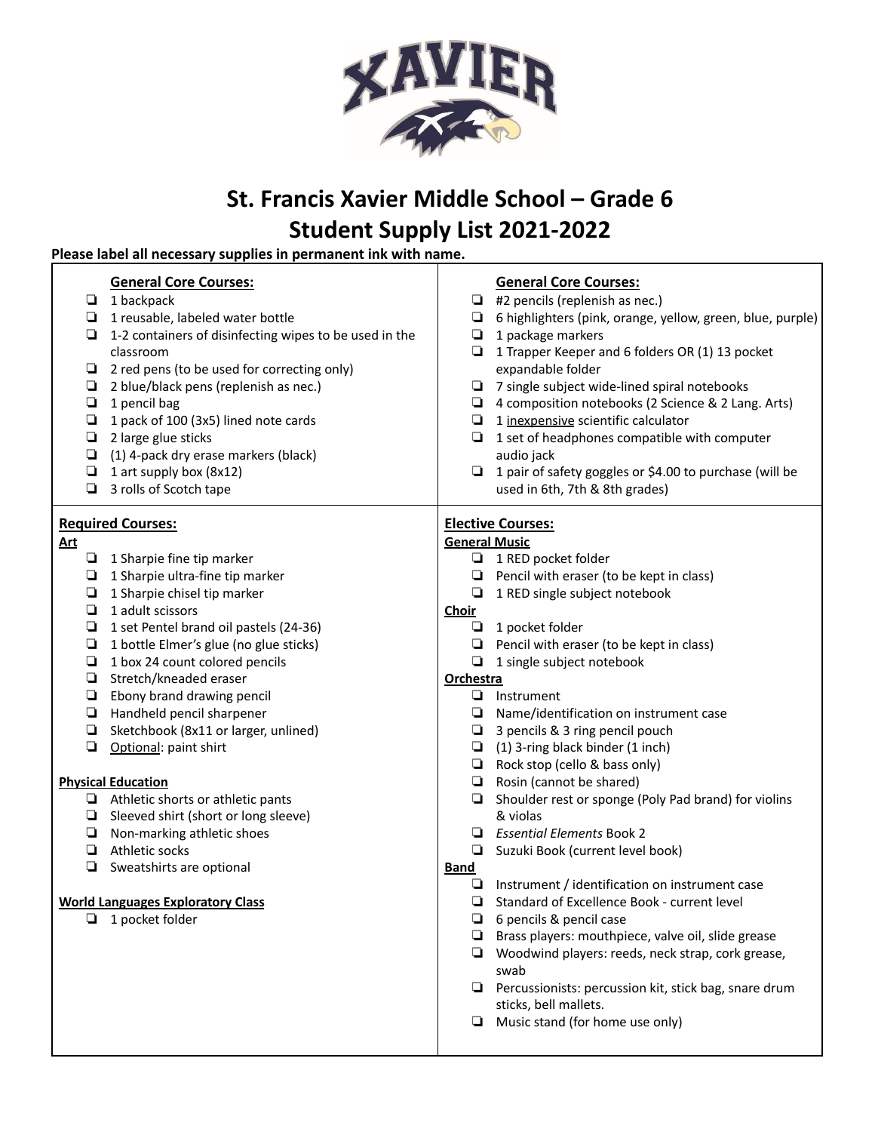

# **St. Francis Xavier Middle School – Grade 6 Student Supply List 2021-2022**

# **Please label all necessary supplies in permanent ink with name.**

| ❏<br>❏<br>❏<br>❏<br>❏<br>❏<br>❏<br>❏<br>❏<br>❏<br>❏ | <b>General Core Courses:</b><br>1 backpack<br>1 reusable, labeled water bottle<br>1-2 containers of disinfecting wipes to be used in the<br>classroom<br>2 red pens (to be used for correcting only)<br>2 blue/black pens (replenish as nec.)<br>1 pencil bag<br>1 pack of 100 (3x5) lined note cards<br>2 large glue sticks<br>(1) 4-pack dry erase markers (black)<br>1 art supply box (8x12)<br>3 rolls of Scotch tape | ❏<br>❏<br>❏<br>❏<br>□<br>┕<br>❏<br>❏<br>❏ | <b>General Core Courses:</b><br>#2 pencils (replenish as nec.)<br>6 highlighters (pink, orange, yellow, green, blue, purple)<br>1 package markers<br>1 Trapper Keeper and 6 folders OR (1) 13 pocket<br>expandable folder<br>7 single subject wide-lined spiral notebooks<br>4 composition notebooks (2 Science & 2 Lang. Arts)<br>1 inexpensive scientific calculator<br>1 set of headphones compatible with computer<br>audio jack<br>1 pair of safety goggles or \$4.00 to purchase (will be<br>used in 6th, 7th & 8th grades) |  |  |
|-----------------------------------------------------|---------------------------------------------------------------------------------------------------------------------------------------------------------------------------------------------------------------------------------------------------------------------------------------------------------------------------------------------------------------------------------------------------------------------------|-------------------------------------------|-----------------------------------------------------------------------------------------------------------------------------------------------------------------------------------------------------------------------------------------------------------------------------------------------------------------------------------------------------------------------------------------------------------------------------------------------------------------------------------------------------------------------------------|--|--|
|                                                     | <b>Required Courses:</b>                                                                                                                                                                                                                                                                                                                                                                                                  | <b>Elective Courses:</b>                  |                                                                                                                                                                                                                                                                                                                                                                                                                                                                                                                                   |  |  |
| <u>Art</u>                                          |                                                                                                                                                                                                                                                                                                                                                                                                                           | <b>General Music</b>                      |                                                                                                                                                                                                                                                                                                                                                                                                                                                                                                                                   |  |  |
|                                                     | $\Box$ 1 Sharpie fine tip marker                                                                                                                                                                                                                                                                                                                                                                                          |                                           | $\Box$ 1 RED pocket folder                                                                                                                                                                                                                                                                                                                                                                                                                                                                                                        |  |  |
| ❏                                                   | 1 Sharpie ultra-fine tip marker                                                                                                                                                                                                                                                                                                                                                                                           | ❏                                         | Pencil with eraser (to be kept in class)                                                                                                                                                                                                                                                                                                                                                                                                                                                                                          |  |  |
| ❏                                                   | 1 Sharpie chisel tip marker                                                                                                                                                                                                                                                                                                                                                                                               | ❏                                         | 1 RED single subject notebook                                                                                                                                                                                                                                                                                                                                                                                                                                                                                                     |  |  |
| ❏                                                   | 1 adult scissors                                                                                                                                                                                                                                                                                                                                                                                                          | <b>Choir</b>                              |                                                                                                                                                                                                                                                                                                                                                                                                                                                                                                                                   |  |  |
| ◘                                                   | 1 set Pentel brand oil pastels (24-36)                                                                                                                                                                                                                                                                                                                                                                                    |                                           | $\Box$ 1 pocket folder                                                                                                                                                                                                                                                                                                                                                                                                                                                                                                            |  |  |
| ◘                                                   | 1 bottle Elmer's glue (no glue sticks)                                                                                                                                                                                                                                                                                                                                                                                    |                                           | $\Box$ Pencil with eraser (to be kept in class)                                                                                                                                                                                                                                                                                                                                                                                                                                                                                   |  |  |
| ◘<br>❏                                              | 1 box 24 count colored pencils<br>Stretch/kneaded eraser                                                                                                                                                                                                                                                                                                                                                                  | ❏<br>Orchestra                            | 1 single subject notebook                                                                                                                                                                                                                                                                                                                                                                                                                                                                                                         |  |  |
| Ч                                                   | Ebony brand drawing pencil                                                                                                                                                                                                                                                                                                                                                                                                | ⊔                                         | Instrument                                                                                                                                                                                                                                                                                                                                                                                                                                                                                                                        |  |  |
| ❏                                                   | Handheld pencil sharpener                                                                                                                                                                                                                                                                                                                                                                                                 |                                           | $\Box$ Name/identification on instrument case                                                                                                                                                                                                                                                                                                                                                                                                                                                                                     |  |  |
| ❏                                                   | Sketchbook (8x11 or larger, unlined)                                                                                                                                                                                                                                                                                                                                                                                      |                                           | $\Box$ 3 pencils & 3 ring pencil pouch                                                                                                                                                                                                                                                                                                                                                                                                                                                                                            |  |  |
| ❏                                                   | Optional: paint shirt                                                                                                                                                                                                                                                                                                                                                                                                     |                                           | $\Box$ (1) 3-ring black binder (1 inch)                                                                                                                                                                                                                                                                                                                                                                                                                                                                                           |  |  |
|                                                     |                                                                                                                                                                                                                                                                                                                                                                                                                           | $\Box$                                    | Rock stop (cello & bass only)                                                                                                                                                                                                                                                                                                                                                                                                                                                                                                     |  |  |
|                                                     | <b>Physical Education</b>                                                                                                                                                                                                                                                                                                                                                                                                 | ❏                                         | Rosin (cannot be shared)                                                                                                                                                                                                                                                                                                                                                                                                                                                                                                          |  |  |
|                                                     | $\Box$ Athletic shorts or athletic pants                                                                                                                                                                                                                                                                                                                                                                                  | ⊔                                         | Shoulder rest or sponge (Poly Pad brand) for violins                                                                                                                                                                                                                                                                                                                                                                                                                                                                              |  |  |
|                                                     | $\Box$ Sleeved shirt (short or long sleeve)                                                                                                                                                                                                                                                                                                                                                                               |                                           | & violas                                                                                                                                                                                                                                                                                                                                                                                                                                                                                                                          |  |  |
| ⊔                                                   | Non-marking athletic shoes                                                                                                                                                                                                                                                                                                                                                                                                | ▫                                         | <b>Essential Elements Book 2</b>                                                                                                                                                                                                                                                                                                                                                                                                                                                                                                  |  |  |
| ▫                                                   | Athletic socks                                                                                                                                                                                                                                                                                                                                                                                                            | ⊔                                         | Suzuki Book (current level book)                                                                                                                                                                                                                                                                                                                                                                                                                                                                                                  |  |  |
| ❏                                                   | Sweatshirts are optional                                                                                                                                                                                                                                                                                                                                                                                                  | <b>Band</b>                               |                                                                                                                                                                                                                                                                                                                                                                                                                                                                                                                                   |  |  |
|                                                     |                                                                                                                                                                                                                                                                                                                                                                                                                           | ⊔                                         | Instrument / identification on instrument case                                                                                                                                                                                                                                                                                                                                                                                                                                                                                    |  |  |
|                                                     | <b>World Languages Exploratory Class</b>                                                                                                                                                                                                                                                                                                                                                                                  | ❏                                         | Standard of Excellence Book - current level                                                                                                                                                                                                                                                                                                                                                                                                                                                                                       |  |  |
| ❏                                                   | 1 pocket folder                                                                                                                                                                                                                                                                                                                                                                                                           | ⊔                                         | 6 pencils & pencil case                                                                                                                                                                                                                                                                                                                                                                                                                                                                                                           |  |  |
|                                                     |                                                                                                                                                                                                                                                                                                                                                                                                                           |                                           | Brass players: mouthpiece, valve oil, slide grease                                                                                                                                                                                                                                                                                                                                                                                                                                                                                |  |  |
|                                                     |                                                                                                                                                                                                                                                                                                                                                                                                                           | ▫                                         | Woodwind players: reeds, neck strap, cork grease,<br>swab                                                                                                                                                                                                                                                                                                                                                                                                                                                                         |  |  |
|                                                     |                                                                                                                                                                                                                                                                                                                                                                                                                           | ❏                                         | Percussionists: percussion kit, stick bag, snare drum                                                                                                                                                                                                                                                                                                                                                                                                                                                                             |  |  |
|                                                     |                                                                                                                                                                                                                                                                                                                                                                                                                           |                                           | sticks, bell mallets.                                                                                                                                                                                                                                                                                                                                                                                                                                                                                                             |  |  |
|                                                     |                                                                                                                                                                                                                                                                                                                                                                                                                           | ❏                                         | Music stand (for home use only)                                                                                                                                                                                                                                                                                                                                                                                                                                                                                                   |  |  |
|                                                     |                                                                                                                                                                                                                                                                                                                                                                                                                           |                                           |                                                                                                                                                                                                                                                                                                                                                                                                                                                                                                                                   |  |  |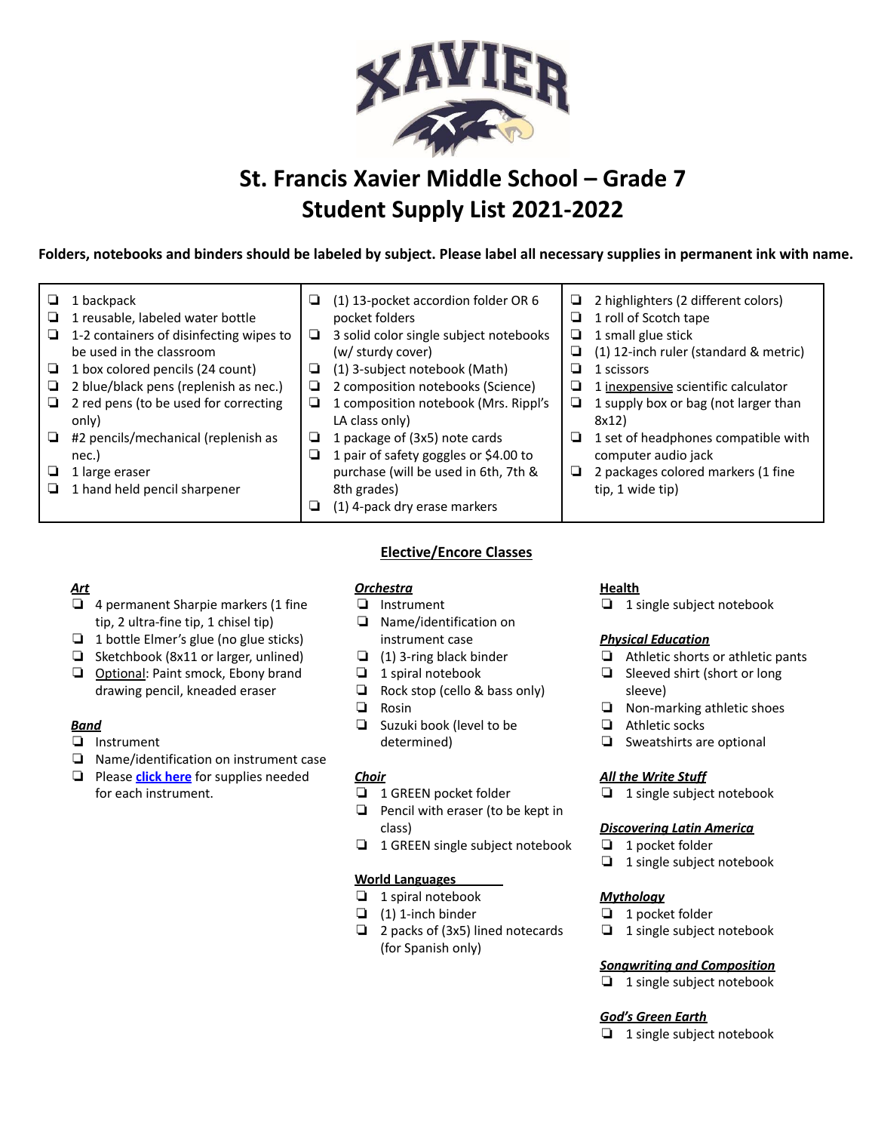

# **St. Francis Xavier Middle School – Grade 7 Student Supply List 2021-2022**

Folders, notebooks and binders should be labeled by subject. Please label all necessary supplies in permanent ink with name.

| ⊔<br>⊔<br>⊔<br>⊔<br>⊔<br>❏ | 1 backpack<br>1 reusable, labeled water bottle<br>1-2 containers of disinfecting wipes to<br>be used in the classroom<br>1 box colored pencils (24 count)<br>2 blue/black pens (replenish as nec.)<br>2 red pens (to be used for correcting<br>only)<br>#2 pencils/mechanical (replenish as | ❏<br>❏<br>❏<br>❏<br>❏<br>❏ | (1) 13-pocket accordion folder OR 6<br>pocket folders<br>3 solid color single subject notebooks<br>(w/ sturdy cover)<br>(1) 3-subject notebook (Math)<br>2 composition notebooks (Science)<br>1 composition notebook (Mrs. Rippl's<br>LA class only)<br>1 package of (3x5) note cards | u<br>⊔<br>⊔<br>⊔<br>⊔<br>⊔<br>⊔<br>⊔ | 2 highlighters (2 different colors)<br>1 roll of Scotch tape<br>1 small glue stick<br>(1) 12-inch ruler (standard & metric)<br>1 scissors<br>1 inexpensive scientific calculator<br>1 supply box or bag (not larger than<br>8x12)<br>1 set of headphones compatible with |
|----------------------------|---------------------------------------------------------------------------------------------------------------------------------------------------------------------------------------------------------------------------------------------------------------------------------------------|----------------------------|---------------------------------------------------------------------------------------------------------------------------------------------------------------------------------------------------------------------------------------------------------------------------------------|--------------------------------------|--------------------------------------------------------------------------------------------------------------------------------------------------------------------------------------------------------------------------------------------------------------------------|
| ⊔<br>┙                     | nec.)<br>1 large eraser<br>1 hand held pencil sharpener                                                                                                                                                                                                                                     | ⊔<br>⊔                     | 1 pair of safety goggles or \$4.00 to<br>purchase (will be used in 6th, 7th &<br>8th grades)<br>(1) 4-pack dry erase markers                                                                                                                                                          | ⊔                                    | computer audio jack<br>2 packages colored markers (1 fine<br>tip, 1 wide tip)                                                                                                                                                                                            |

# *Art*

- ❏ 4 permanent Sharpie markers (1 fine tip, 2 ultra-fine tip, 1 chisel tip)
- ❏ 1 bottle Elmer's glue (no glue sticks)
- ❏ Sketchbook (8x11 or larger, unlined)
- ❏ Optional: Paint smock, Ebony brand drawing pencil, kneaded eraser

# *Band*

- ❏ Instrument
- ❏ Name/identification on instrument case
- ❏ Please **click [here](https://docs.google.com/document/d/152romiDI1B6jwomadqwqWpYdg1k9CKWQEI5tuCFSwfo/edit)** for supplies needed for each instrument.

# **Elective/Encore Classes**

# *Orchestra*

- ❏ Instrument
- ❏ Name/identification on instrument case
- ❏ (1) 3-ring black binder
- ❏ 1 spiral notebook
- ❏ Rock stop (cello & bass only)
- ❏ Rosin
- ❏ Suzuki book (level to be determined)

# *Choir*

- ❏ 1 GREEN pocket folder
- ❏ Pencil with eraser (to be kept in class)
- ❏ 1 GREEN single subject notebook

#### **World Languages**

- ❏ 1 spiral notebook
- ❏ (1) 1-inch binder
- ❏ 2 packs of (3x5) lined notecards (for Spanish only)

#### **Health**

❏ 1 single subject notebook

#### *Physical Education*

- ❏ Athletic shorts or athletic pants
- ❏ Sleeved shirt (short or long sleeve)
- ❏ Non-marking athletic shoes
- ❏ Athletic socks
- ❏ Sweatshirts are optional

#### *All the Write Stuff*

❏ 1 single subject notebook

# *Discovering Latin America*

- ❏ 1 pocket folder
- ❏ 1 single subject notebook

#### *Mythology*

- ❏ 1 pocket folder
- ❏ 1 single subject notebook

#### *Songwriting and Composition*

❏ 1 single subject notebook

#### *God's Green Earth*

❏ 1 single subject notebook